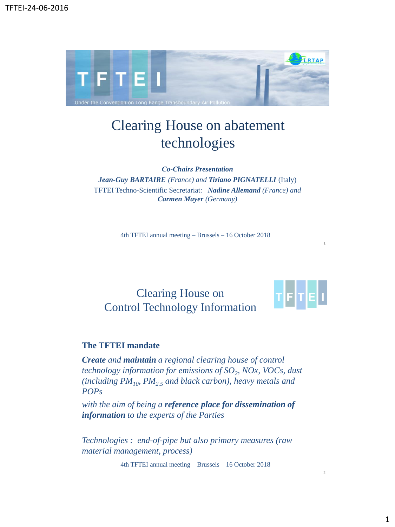

# Clearing House on abatement technologies

*Co-Chairs Presentation* 

*Jean-Guy BARTAIRE (France) and Tiziano PIGNATELLI* (Italy) TFTEI Techno-Scientific Secretariat: *Nadine Allemand (France) and Carmen Mayer (Germany)*

4th TFTEI annual meeting – Brussels – 16 October 2018

## Clearing House on Control Technology Information



1

2

### **The TFTEI mandate**

*Create and maintain a regional clearing house of control technology information for emissions of SO<sup>2</sup> , NOx, VOCs, dust (including PM10, PM2.5 and black carbon), heavy metals and POPs* 

*with the aim of being a reference place for dissemination of information to the experts of the Parties*

*Technologies : end-of-pipe but also primary measures (raw material management, process)*

4th TFTEI annual meeting – Brussels – 16 October 2018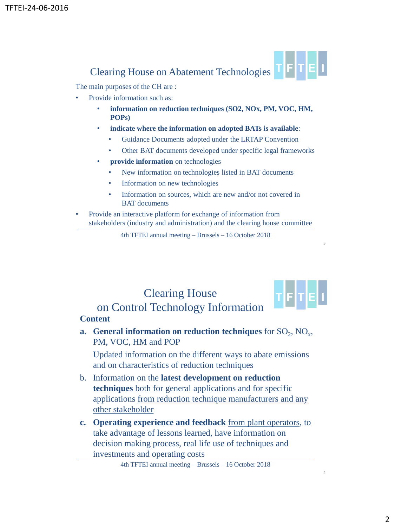

The main purposes of the CH are :

- Provide information such as:
	- **information on reduction techniques (SO2, NOx, PM, VOC, HM, POPs)**
	- **indicate where the information on adopted BATs is available**:
		- Guidance Documents adopted under the LRTAP Convention
		- Other BAT documents developed under specific legal frameworks
	- **provide information** on technologies
		- New information on technologies listed in BAT documents
		- Information on new technologies
		- Information on sources, which are new and/or not covered in BAT documents
- Provide an interactive platform for exchange of information from stakeholders (industry and administration) and the clearing house committee

4th TFTEI annual meeting – Brussels – 16 October 2018

# Clearing House on Control Technology Information

### **Content**

**a.** General information on reduction techniques for  $SO_2$ ,  $NO_x$ , PM, VOC, HM and POP

Updated information on the different ways to abate emissions and on characteristics of reduction techniques

- b. Information on the **latest development on reduction techniques** both for general applications and for specific applications from reduction technique manufacturers and any other stakeholder
- **c. Operating experience and feedback** from plant operators, to take advantage of lessons learned, have information on decision making process, real life use of techniques and investments and operating costs

4th TFTEI annual meeting – Brussels – 16 October 2018

3

┲<mark>╒</mark>┝┲<mark>╒</mark>╽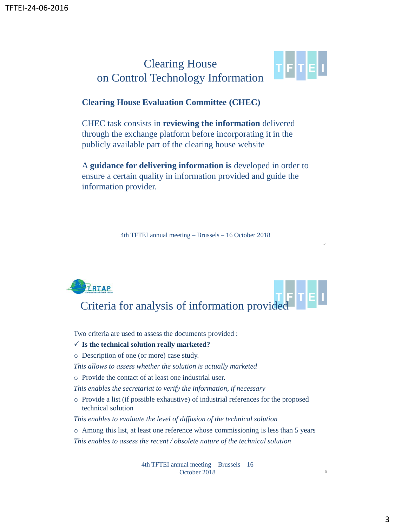## Clearing House on Control Technology Information



5

6

### **Clearing House Evaluation Committee (CHEC)**

CHEC task consists in **reviewing the information** delivered through the exchange platform before incorporating it in the publicly available part of the clearing house website

A **guidance for delivering information is** developed in order to ensure a certain quality in information provided and guide the information provider.

4th TFTEI annual meeting – Brussels – 16 October 2018

# TRTAP Criteria for analysis of information provided TETE

Two criteria are used to assess the documents provided :

### ✓ **Is the technical solution really marketed?**

- o Description of one (or more) case study.
- *This allows to assess whether the solution is actually marketed*
- o Provide the contact of at least one industrial user.
- *This enables the secretariat to verify the information, if necessary*
- o Provide a list (if possible exhaustive) of industrial references for the proposed technical solution
- *This enables to evaluate the level of diffusion of the technical solution*
- o Among this list, at least one reference whose commissioning is less than 5 years

*This enables to assess the recent / obsolete nature of the technical solution* 

4th TFTEI annual meeting – Brussels – 16 October 2018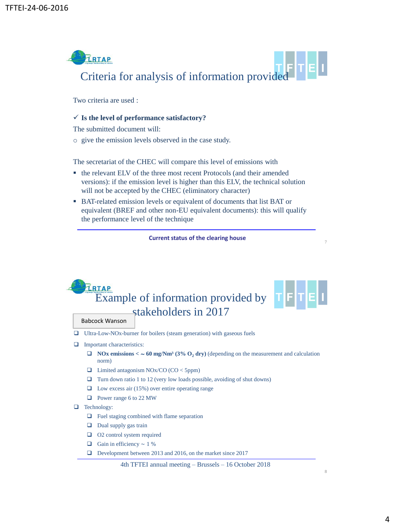

Two criteria are used :

### ✓ **Is the level of performance satisfactory?**

The submitted document will:

o give the emission levels observed in the case study.

The secretariat of the CHEC will compare this level of emissions with

- the relevant ELV of the three most recent Protocols (and their amended versions): if the emission level is higher than this ELV, the technical solution will not be accepted by the CHEC (eliminatory character)
- BAT-related emission levels or equivalent of documents that list BAT or equivalent (BREF and other non-EU equivalent documents): this will qualify the performance level of the technique

**Current status of the clearing house** 

## **PRTAP** Example of information provided by stakeholders in 2017

#### Babcock Wanson

- ❑ Ultra-Low-NOx-burner for boilers (steam generation) with gaseous fuels
- □ Important characteristics:
	- ❑ **NOx emissions <** ∼ **60 mg/Nm³ (3% O<sup>2</sup> dry)** (depending on the measurement and calculation norm)
	- ❑ Limited antagonism NOx/CO (CO < 5ppm)
	- $\Box$  Turn down ratio 1 to 12 (very low loads possible, avoiding of shut downs)
	- ❑ Low excess air (15%) over entire operating range
	- ❑ Power range 6 to 22 MW
- ❑ Technology:
	- ❑ Fuel staging combined with flame separation
	- ❑ Dual supply gas train
	- ❑ O2 control system required
	- $\Box$  Gain in efficiency ~ 1 %
	- ❑ Development between 2013 and 2016, on the market since 2017

4th TFTEI annual meeting – Brussels – 16 October 2018

7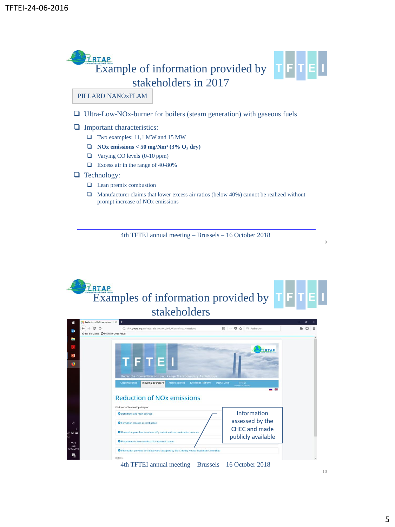

- ❑ Ultra-Low-NOx-burner for boilers (steam generation) with gaseous fuels
- □ Important characteristics:
	- ❑ Two examples: 11,1 MW and 15 MW
	- ❑ **NOx emissions < 50 mg/Nm³ (3% O<sup>2</sup> dry)**
	- ❑ Varying CO levels (0-10 ppm)
	- ❑ Excess air in the range of 40-80%

### ❑ Technology:

- ❑ Lean premix combustion
- ❑ Manufacturer claims that lower excess air ratios (below 40%) cannot be realized without prompt increase of NOx emissions

4th TFTEI annual meeting – Brussels – 16 October 2018



4th TFTEI annual meeting – Brussels – 16 October 2018

10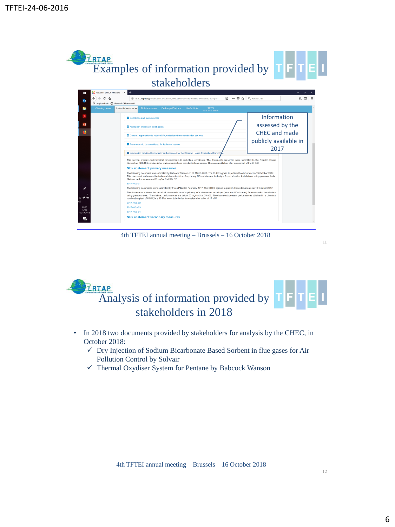

4th TFTEI annual meeting – Brussels – 16 October 2018



- In 2018 two documents provided by stakeholders for analysis by the CHEC, in October 2018:
	- ✓ Dry Injection of Sodium Bicarbonate Based Sorbent in flue gases for Air Pollution Control by Solvair
	- ✓ Thermal Oxydiser System for Pentane by Babcock Wanson